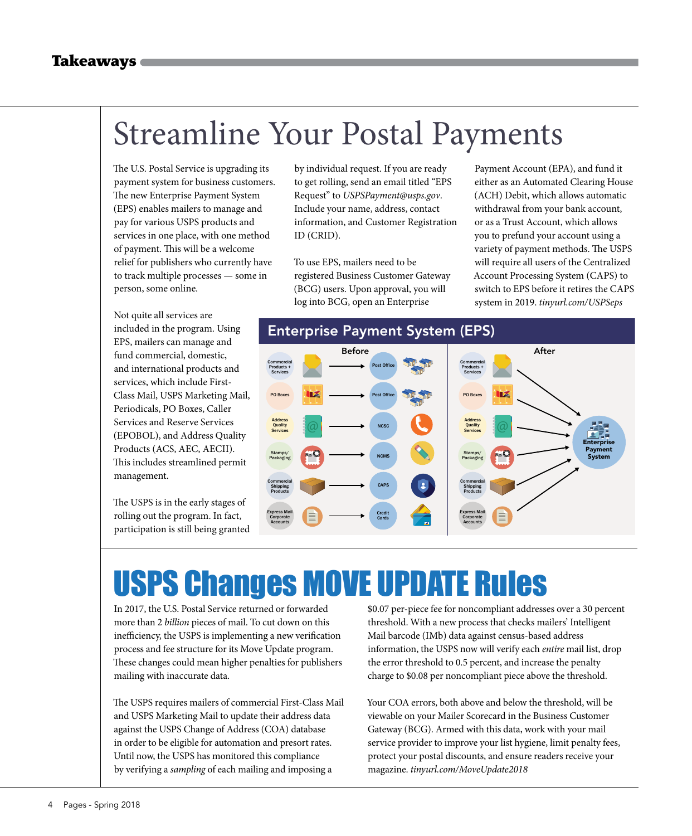### Streamline Your Postal Payments

The U.S. Postal Service is upgrading its payment system for business customers. The new Enterprise Payment System (EPS) enables mailers to manage and pay for various USPS products and services in one place, with one method of payment. This will be a welcome relief for publishers who currently have to track multiple processes — some in person, some online.

Not quite all services are included in the program. Using EPS, mailers can manage and fund commercial, domestic, and international products and services, which include First-Class Mail, USPS Marketing Mail, Periodicals, PO Boxes, Caller Services and Reserve Services (EPOBOL), and Address Quality Products (ACS, AEC, AECII). This includes streamlined permit management.

The USPS is in the early stages of rolling out the program. In fact, participation is still being granted

by individual request. If you are ready to get rolling, send an email titled "EPS Request" to *USPSPayment@usps.gov*. Include your name, address, contact information, and Customer Registration ID (CRID).

To use EPS, mailers need to be registered Business Customer Gateway (BCG) users. Upon approval, you will log into BCG, open an Enterprise

Payment Account (EPA), and fund it either as an Automated Clearing House (ACH) Debit, which allows automatic withdrawal from your bank account, or as a Trust Account, which allows you to prefund your account using a variety of payment methods. The USPS will require all users of the Centralized Account Processing System (CAPS) to switch to EPS before it retires the CAPS system in 2019. *tinyurl.com/USPSeps*



## USPS Changes MOVE UPDATE Rules

In 2017, the U.S. Postal Service returned or forwarded more than 2 *billion* pieces of mail. To cut down on this inefficiency, the USPS is implementing a new verification process and fee structure for its Move Update program. These changes could mean higher penalties for publishers mailing with inaccurate data.

The USPS requires mailers of commercial First-Class Mail and USPS Marketing Mail to update their address data against the USPS Change of Address (COA) database in order to be eligible for automation and presort rates. Until now, the USPS has monitored this compliance by verifying a *sampling* of each mailing and imposing a

\$0.07 per-piece fee for noncompliant addresses over a 30 percent threshold. With a new process that checks mailers' Intelligent Mail barcode (IMb) data against census-based address information, the USPS now will verify each *entire* mail list, drop the error threshold to 0.5 percent, and increase the penalty charge to \$0.08 per noncompliant piece above the threshold.

Your COA errors, both above and below the threshold, will be viewable on your Mailer Scorecard in the Business Customer Gateway (BCG). Armed with this data, work with your mail service provider to improve your list hygiene, limit penalty fees, protect your postal discounts, and ensure readers receive your magazine. *tinyurl.com/MoveUpdate2018*